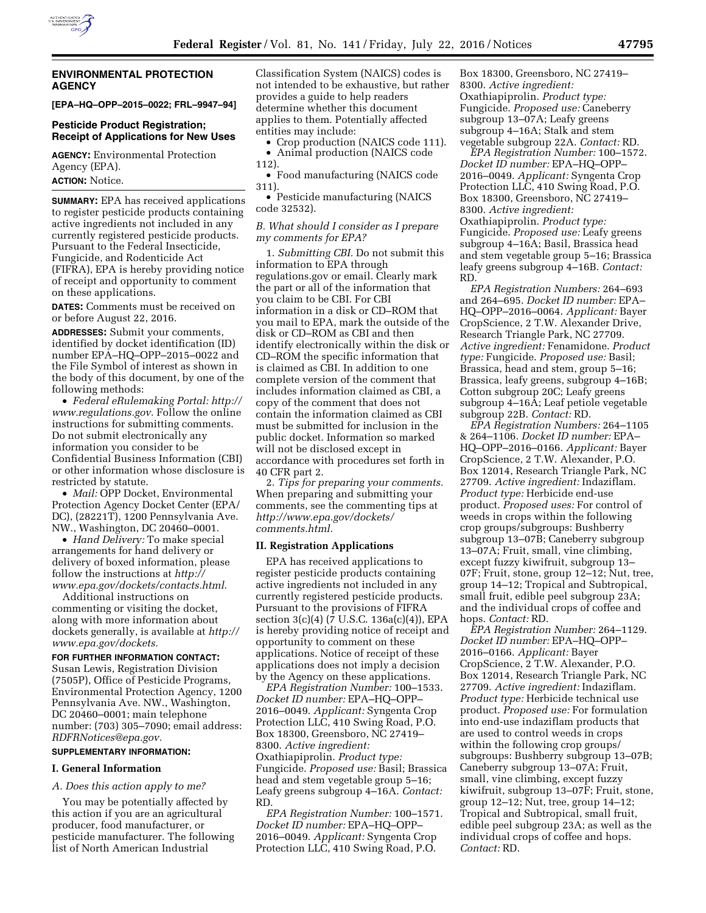

## **ENVIRONMENTAL PROTECTION AGENCY**

#### **[EPA–HQ–OPP–2015–0022; FRL–9947–94]**

# **Pesticide Product Registration; Receipt of Applications for New Uses**

**AGENCY:** Environmental Protection Agency (EPA). **ACTION:** Notice.

**SUMMARY:** EPA has received applications to register pesticide products containing active ingredients not included in any currently registered pesticide products. Pursuant to the Federal Insecticide, Fungicide, and Rodenticide Act (FIFRA), EPA is hereby providing notice of receipt and opportunity to comment on these applications.

**DATES:** Comments must be received on or before August 22, 2016.

**ADDRESSES:** Submit your comments, identified by docket identification (ID) number EPA–HQ–OPP–2015–0022 and the File Symbol of interest as shown in the body of this document, by one of the following methods:

• *Federal eRulemaking Portal: [http://](http://www.regulations.gov)  [www.regulations.gov.](http://www.regulations.gov)* Follow the online instructions for submitting comments. Do not submit electronically any information you consider to be Confidential Business Information (CBI) or other information whose disclosure is restricted by statute.

• *Mail:* OPP Docket, Environmental Protection Agency Docket Center (EPA/ DC), (28221T), 1200 Pennsylvania Ave. NW., Washington, DC 20460–0001.

• *Hand Delivery:* To make special arrangements for hand delivery or delivery of boxed information, please follow the instructions at *[http://](http://www.epa.gov/dockets/contacts.html) [www.epa.gov/dockets/contacts.html.](http://www.epa.gov/dockets/contacts.html)* 

Additional instructions on commenting or visiting the docket, along with more information about dockets generally, is available at *[http://](http://www.epa.gov/dockets) [www.epa.gov/dockets.](http://www.epa.gov/dockets)* 

#### **FOR FURTHER INFORMATION CONTACT:**

Susan Lewis, Registration Division (7505P), Office of Pesticide Programs, Environmental Protection Agency, 1200 Pennsylvania Ave. NW., Washington, DC 20460–0001; main telephone number: (703) 305–7090; email address: *[RDFRNotices@epa.gov.](mailto:RDFRNotices@epa.gov)* 

## **SUPPLEMENTARY INFORMATION:**

#### **I. General Information**

*A. Does this action apply to me?* 

You may be potentially affected by this action if you are an agricultural producer, food manufacturer, or pesticide manufacturer. The following list of North American Industrial

Classification System (NAICS) codes is not intended to be exhaustive, but rather provides a guide to help readers determine whether this document applies to them. Potentially affected entities may include:

• Crop production (NAICS code 111). • Animal production (NAICS code

112).

• Food manufacturing (NAICS code 311).

• Pesticide manufacturing (NAICS code 32532).

## *B. What should I consider as I prepare my comments for EPA?*

1. *Submitting CBI.* Do not submit this information to EPA through regulations.gov or email. Clearly mark the part or all of the information that you claim to be CBI. For CBI information in a disk or CD–ROM that you mail to EPA, mark the outside of the disk or CD–ROM as CBI and then identify electronically within the disk or CD–ROM the specific information that is claimed as CBI. In addition to one complete version of the comment that includes information claimed as CBI, a copy of the comment that does not contain the information claimed as CBI must be submitted for inclusion in the public docket. Information so marked will not be disclosed except in accordance with procedures set forth in 40 CFR part 2.

2. *Tips for preparing your comments.*  When preparing and submitting your comments, see the commenting tips at *[http://www.epa.gov/dockets/](http://www.epa.gov/dockets/comments.html) [comments.html.](http://www.epa.gov/dockets/comments.html)* 

#### **II. Registration Applications**

EPA has received applications to register pesticide products containing active ingredients not included in any currently registered pesticide products. Pursuant to the provisions of FIFRA section 3(c)(4) (7 U.S.C. 136a(c)(4)), EPA is hereby providing notice of receipt and opportunity to comment on these applications. Notice of receipt of these applications does not imply a decision by the Agency on these applications.

*EPA Registration Number:* 100–1533. *Docket ID number:* EPA–HQ–OPP– 2016–0049. *Applicant:* Syngenta Crop Protection LLC, 410 Swing Road, P.O. Box 18300, Greensboro, NC 27419– 8300. *Active ingredient:*  Oxathiapiprolin. *Product type:*  Fungicide. *Proposed use:* Basil; Brassica head and stem vegetable group 5–16; Leafy greens subgroup 4–16A. *Contact:*  RD.

*EPA Registration Number:* 100–1571. *Docket ID number:* EPA–HQ–OPP– 2016–0049. *Applicant:* Syngenta Crop Protection LLC, 410 Swing Road, P.O.

Box 18300, Greensboro, NC 27419– 8300. *Active ingredient:*  Oxathiapiprolin. *Product type:*  Fungicide. *Proposed use:* Caneberry subgroup 13–07A; Leafy greens subgroup 4–16A; Stalk and stem vegetable subgroup 22A. *Contact:* RD.

*EPA Registration Number:* 100–1572. *Docket ID number:* EPA–HQ–OPP– 2016–0049. *Applicant:* Syngenta Crop Protection LLC, 410 Swing Road, P.O. Box 18300, Greensboro, NC 27419– 8300. *Active ingredient:*  Oxathiapiprolin. *Product type:*  Fungicide. *Proposed use:* Leafy greens subgroup 4–16A; Basil, Brassica head and stem vegetable group 5–16; Brassica leafy greens subgroup 4–16B. *Contact:*  RD.

*EPA Registration Numbers:* 264–693 and 264–695. *Docket ID number:* EPA– HQ–OPP–2016–0064. *Applicant:* Bayer CropScience, 2 T.W. Alexander Drive, Research Triangle Park, NC 27709. *Active ingredient:* Fenamidone. *Product type:* Fungicide. *Proposed use:* Basil; Brassica, head and stem, group 5–16; Brassica, leafy greens, subgroup 4–16B; Cotton subgroup 20C; Leafy greens subgroup 4–16A; Leaf petiole vegetable subgroup 22B. *Contact:* RD.

*EPA Registration Numbers:* 264–1105 & 264–1106. *Docket ID number:* EPA– HQ–OPP–2016–0166. *Applicant:* Bayer CropScience, 2 T.W. Alexander, P.O. Box 12014, Research Triangle Park, NC 27709. *Active ingredient:* Indaziflam. *Product type:* Herbicide end-use product. *Proposed uses:* For control of weeds in crops within the following crop groups/subgroups: Bushberry subgroup 13–07B; Caneberry subgroup 13–07A; Fruit, small, vine climbing, except fuzzy kiwifruit, subgroup 13– 07F; Fruit, stone, group 12–12; Nut, tree, group 14–12; Tropical and Subtropical, small fruit, edible peel subgroup 23A; and the individual crops of coffee and hops. *Contact:* RD.

*EPA Registration Number:* 264–1129. *Docket ID number:* EPA–HQ–OPP– 2016–0166. *Applicant:* Bayer CropScience, 2 T.W. Alexander, P.O. Box 12014, Research Triangle Park, NC 27709. *Active ingredient:* Indaziflam. *Product type:* Herbicide technical use product. *Proposed use:* For formulation into end-use indaziflam products that are used to control weeds in crops within the following crop groups/ subgroups: Bushberry subgroup 13–07B; Caneberry subgroup 13–07A; Fruit, small, vine climbing, except fuzzy kiwifruit, subgroup 13–07F; Fruit, stone, group 12–12; Nut, tree, group 14–12; Tropical and Subtropical, small fruit, edible peel subgroup 23A; as well as the individual crops of coffee and hops. *Contact:* RD.